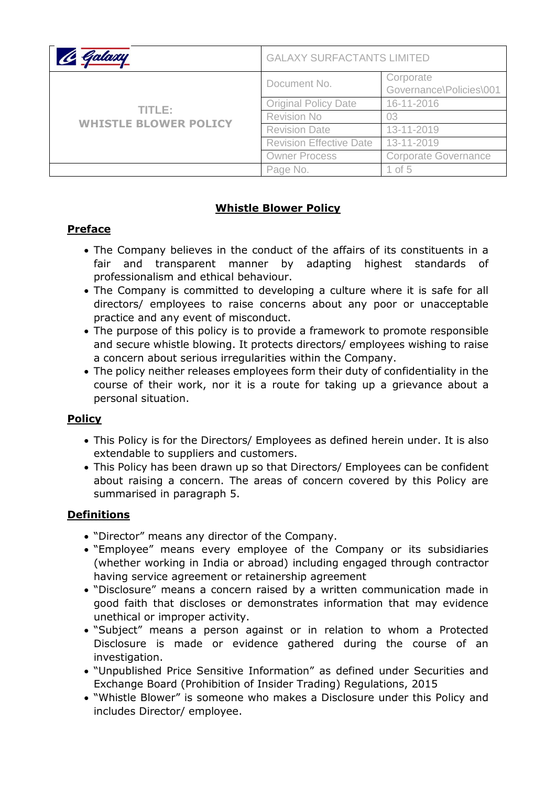| Galaxy                                 | <b>GALAXY SURFACTANTS LIMITED</b> |                                      |
|----------------------------------------|-----------------------------------|--------------------------------------|
| TITLE:<br><b>WHISTLE BLOWER POLICY</b> | Document No.                      | Corporate<br>Governance\Policies\001 |
|                                        | <b>Original Policy Date</b>       | 16-11-2016                           |
|                                        | <b>Revision No</b>                | 03                                   |
|                                        | <b>Revision Date</b>              | 13-11-2019                           |
|                                        | <b>Revision Effective Date</b>    | 13-11-2019                           |
|                                        | <b>Owner Process</b>              | <b>Corporate Governance</b>          |
|                                        | Page No.                          | 1 of 5                               |

### **Whistle Blower Policy**

## **Preface**

- The Company believes in the conduct of the affairs of its constituents in a fair and transparent manner by adapting highest standards of professionalism and ethical behaviour.
- The Company is committed to developing a culture where it is safe for all directors/ employees to raise concerns about any poor or unacceptable practice and any event of misconduct.
- The purpose of this policy is to provide a framework to promote responsible and secure whistle blowing. It protects directors/ employees wishing to raise a concern about serious irregularities within the Company.
- The policy neither releases employees form their duty of confidentiality in the course of their work, nor it is a route for taking up a grievance about a personal situation.

### **Policy**

- This Policy is for the Directors/ Employees as defined herein under. It is also extendable to suppliers and customers.
- This Policy has been drawn up so that Directors/ Employees can be confident about raising a concern. The areas of concern covered by this Policy are summarised in paragraph 5.

# **Definitions**

- "Director" means any director of the Company.
- "Employee" means every employee of the Company or its subsidiaries (whether working in India or abroad) including engaged through contractor having service agreement or retainership agreement
- "Disclosure" means a concern raised by a written communication made in good faith that discloses or demonstrates information that may evidence unethical or improper activity.
- "Subject" means a person against or in relation to whom a Protected Disclosure is made or evidence gathered during the course of an investigation.
- "Unpublished Price Sensitive Information" as defined under Securities and Exchange Board (Prohibition of Insider Trading) Regulations, 2015
- "Whistle Blower" is someone who makes a Disclosure under this Policy and includes Director/ employee.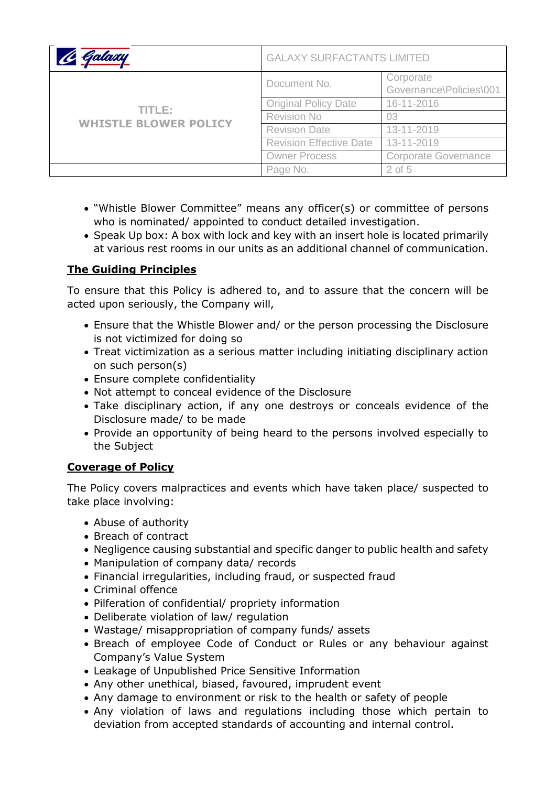| Galaxy                                 | <b>GALAXY SURFACTANTS LIMITED</b> |                                      |
|----------------------------------------|-----------------------------------|--------------------------------------|
| TITLE:<br><b>WHISTLE BLOWER POLICY</b> | Document No.                      | Corporate<br>Governance\Policies\001 |
|                                        | <b>Original Policy Date</b>       | 16-11-2016                           |
|                                        | <b>Revision No</b>                | 03                                   |
|                                        | <b>Revision Date</b>              | 13-11-2019                           |
|                                        | <b>Revision Effective Date</b>    | 13-11-2019                           |
|                                        | <b>Owner Process</b>              | <b>Corporate Governance</b>          |
|                                        | Page No.                          | $2$ of 5                             |

- "Whistle Blower Committee" means any officer(s) or committee of persons who is nominated/ appointed to conduct detailed investigation.
- Speak Up box: A box with lock and key with an insert hole is located primarily at various rest rooms in our units as an additional channel of communication.

## **The Guiding Principles**

To ensure that this Policy is adhered to, and to assure that the concern will be acted upon seriously, the Company will,

- Ensure that the Whistle Blower and/ or the person processing the Disclosure is not victimized for doing so
- Treat victimization as a serious matter including initiating disciplinary action on such person(s)
- Ensure complete confidentiality
- Not attempt to conceal evidence of the Disclosure
- Take disciplinary action, if any one destroys or conceals evidence of the Disclosure made/ to be made
- Provide an opportunity of being heard to the persons involved especially to the Subject

### **Coverage of Policy**

The Policy covers malpractices and events which have taken place/ suspected to take place involving:

- Abuse of authority
- Breach of contract
- Negligence causing substantial and specific danger to public health and safety
- Manipulation of company data/ records
- Financial irregularities, including fraud, or suspected fraud
- Criminal offence
- Pilferation of confidential/ propriety information
- Deliberate violation of law/ regulation
- Wastage/ misappropriation of company funds/ assets
- Breach of employee Code of Conduct or Rules or any behaviour against Company's Value System
- Leakage of Unpublished Price Sensitive Information
- Any other unethical, biased, favoured, imprudent event
- Any damage to environment or risk to the health or safety of people
- Any violation of laws and regulations including those which pertain to deviation from accepted standards of accounting and internal control.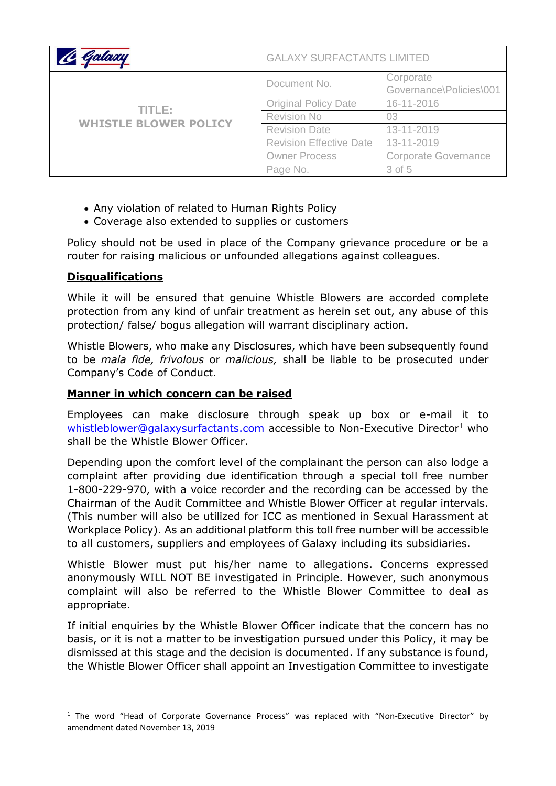| Galaxy                                 | <b>GALAXY SURFACTANTS LIMITED</b> |                                      |
|----------------------------------------|-----------------------------------|--------------------------------------|
| TITLE:<br><b>WHISTLE BLOWER POLICY</b> | Document No.                      | Corporate<br>Governance\Policies\001 |
|                                        | <b>Original Policy Date</b>       | 16-11-2016                           |
|                                        | <b>Revision No</b>                | 03                                   |
|                                        | <b>Revision Date</b>              | 13-11-2019                           |
|                                        | <b>Revision Effective Date</b>    | 13-11-2019                           |
|                                        | <b>Owner Process</b>              | <b>Corporate Governance</b>          |
|                                        | Page No.                          | $3$ of $5$                           |

- Any violation of related to Human Rights Policy
- Coverage also extended to supplies or customers

Policy should not be used in place of the Company grievance procedure or be a router for raising malicious or unfounded allegations against colleagues.

#### **Disqualifications**

**.** 

While it will be ensured that genuine Whistle Blowers are accorded complete protection from any kind of unfair treatment as herein set out, any abuse of this protection/ false/ bogus allegation will warrant disciplinary action.

Whistle Blowers, who make any Disclosures, which have been subsequently found to be *mala fide, frivolous* or *malicious,* shall be liable to be prosecuted under Company's Code of Conduct.

#### **Manner in which concern can be raised**

Employees can make disclosure through speak up box or e-mail it to [whistleblower@galaxysurfactants.com](mailto:whistleblower@galaxysurfactants.com) accessible to Non-Executive Director<sup>1</sup> who shall be the Whistle Blower Officer.

Depending upon the comfort level of the complainant the person can also lodge a complaint after providing due identification through a special toll free number 1-800-229-970, with a voice recorder and the recording can be accessed by the Chairman of the Audit Committee and Whistle Blower Officer at regular intervals. (This number will also be utilized for ICC as mentioned in Sexual Harassment at Workplace Policy). As an additional platform this toll free number will be accessible to all customers, suppliers and employees of Galaxy including its subsidiaries.

Whistle Blower must put his/her name to allegations. Concerns expressed anonymously WILL NOT BE investigated in Principle. However, such anonymous complaint will also be referred to the Whistle Blower Committee to deal as appropriate.

If initial enquiries by the Whistle Blower Officer indicate that the concern has no basis, or it is not a matter to be investigation pursued under this Policy, it may be dismissed at this stage and the decision is documented. If any substance is found, the Whistle Blower Officer shall appoint an Investigation Committee to investigate

<sup>&</sup>lt;sup>1</sup> The word "Head of Corporate Governance Process" was replaced with "Non-Executive Director" by amendment dated November 13, 2019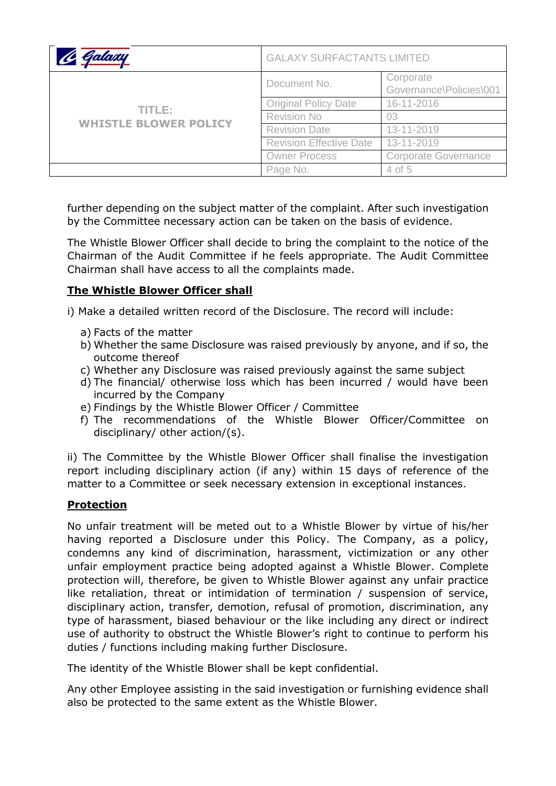| Galaxy                                 | <b>GALAXY SURFACTANTS LIMITED</b> |                                      |
|----------------------------------------|-----------------------------------|--------------------------------------|
| TITLE:<br><b>WHISTLE BLOWER POLICY</b> | Document No.                      | Corporate<br>Governance\Policies\001 |
|                                        | <b>Original Policy Date</b>       | 16-11-2016                           |
|                                        | <b>Revision No</b>                | 03                                   |
|                                        | <b>Revision Date</b>              | 13-11-2019                           |
|                                        | <b>Revision Effective Date</b>    | 13-11-2019                           |
|                                        | <b>Owner Process</b>              | <b>Corporate Governance</b>          |
|                                        | Page No.                          | 4 of 5                               |

further depending on the subject matter of the complaint. After such investigation by the Committee necessary action can be taken on the basis of evidence.

The Whistle Blower Officer shall decide to bring the complaint to the notice of the Chairman of the Audit Committee if he feels appropriate. The Audit Committee Chairman shall have access to all the complaints made.

## **The Whistle Blower Officer shall**

i) Make a detailed written record of the Disclosure. The record will include:

- a) Facts of the matter
- b) Whether the same Disclosure was raised previously by anyone, and if so, the outcome thereof
- c) Whether any Disclosure was raised previously against the same subject
- d) The financial/ otherwise loss which has been incurred / would have been incurred by the Company
- e) Findings by the Whistle Blower Officer / Committee
- f) The recommendations of the Whistle Blower Officer/Committee on disciplinary/ other action/(s).

ii) The Committee by the Whistle Blower Officer shall finalise the investigation report including disciplinary action (if any) within 15 days of reference of the matter to a Committee or seek necessary extension in exceptional instances.

### **Protection**

No unfair treatment will be meted out to a Whistle Blower by virtue of his/her having reported a Disclosure under this Policy. The Company, as a policy, condemns any kind of discrimination, harassment, victimization or any other unfair employment practice being adopted against a Whistle Blower. Complete protection will, therefore, be given to Whistle Blower against any unfair practice like retaliation, threat or intimidation of termination / suspension of service, disciplinary action, transfer, demotion, refusal of promotion, discrimination, any type of harassment, biased behaviour or the like including any direct or indirect use of authority to obstruct the Whistle Blower's right to continue to perform his duties / functions including making further Disclosure.

The identity of the Whistle Blower shall be kept confidential.

Any other Employee assisting in the said investigation or furnishing evidence shall also be protected to the same extent as the Whistle Blower.